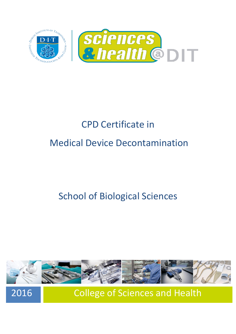

# CPD Certificate in Medical Device Decontamination

## School of Biological Sciences



2016 College of Sciences and Health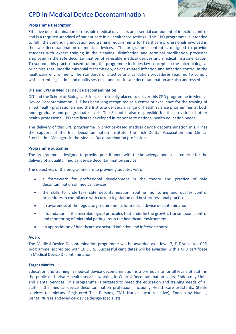### CPD in Medical Device Decontamination



### **Programme Description**

Effective decontamination of reusable medical devices is an essential component of infection control and is a required standard of patient care in all healthcare settings. This CPD programme is intended to fulfil the continuing education and training requirements for healthcare professionals involved in the safe decontamination of medical devices. The programme content is designed to provide students with expert training in the cleaning, disinfection and terminal sterilisation processes employed in the safe decontamination of re-usable medical devices and medical instrumentation. To support this practice-based tuition, the programme includes key concepts in the microbiological principles that underlie microbial transmission, device-related infection and infection control in the healthcare environment. The standards of practice and validation procedures required to comply with current legislation and quality system standards in safe decontamination are also addressed.

### **DIT and CPD in Medical Device Decontamination**

DIT and the School of Biological Sciences are ideally placed to deliver this CPD programme in Medical Device Decontamination. DIT has been long recognized as a centre of excellence for the training of allied health professionals and the Institute delivers a range of health science programmes at both undergraduate and postgraduate levels. The School is also responsible for the provision of other health professional CPD certificates developed in response to national health education needs.

The delivery of this CPD programme in practice-based medical device decontamination in DIT has the support of the Irish Decontamination Institute, the Irish Dental Association and Clinical Sterilisation Managers in the Medical Decontamination profession.

### **Programme outcomes**

The programme is designed to provide practitioners with the knowledge and skills required for the delivery of a quality, medical device decontamination service.

The objectives of the programme are to provide graduates with:

- a framework for professional development in the theory and practice of safe decontamination of medical devices
- $\bullet$ the skills to undertake safe decontamination, routine monitoring and quality control procedures in compliance with current legislation and best professional practice
- an awareness of the regulatory requirements for medical device decontamination  $\bullet$
- a foundation in the microbiological principles that underlie the growth, transmission, control  $\bullet$ and monitoring of microbial pathogens in the healthcare environment
- $\bullet$ an appreciation of healthcare-associated infection and infection control.

### **Award**

The Medical Device Decontamination programme will be awarded as a level 7, DIT validated CPD programme, accredited with 10 ECTS. Successful candidates will be awarded with a CPD certificate in Medical Device Decontamination.

### **Target Market**

Education and training in medical device decontamination is a prerequisite for all levels of staff, in the public and private health service, working in Central Decontamination Units, Endoscopy Units and Dental Services. This programme is targeted to meet the education and training needs of all staff in the medical device decontamination profession, including Health care assistants, Sterile services technicians, Registered Test Persons, CM1 Nurses (acute/elective), Endoscopy Nurses, Dental Nurses and Medical device design-specialists.